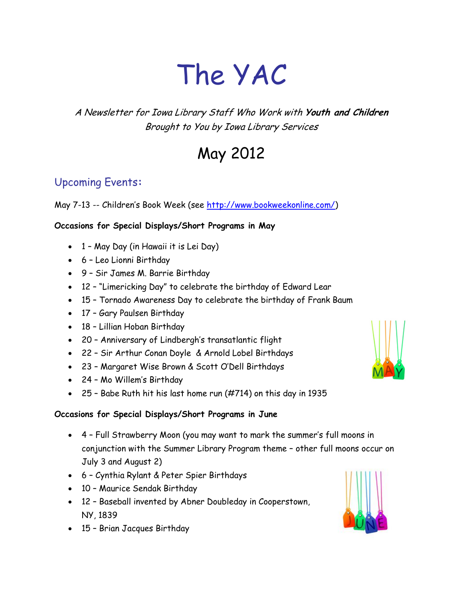# The YAC

# A Newsletter for Iowa Library Staff Who Work with **Youth and Children** Brought to You by Iowa Library Services

# May 2012

# Upcoming Events**:**

May 7-13 -- Children's Book Week (see [http://www.bookweekonline.com/\)](http://www.bookweekonline.com/)

#### **Occasions for Special Displays/Short Programs in May**

- 1 May Day (in Hawaii it is Lei Day)
- 6 Leo Lionni Birthday
- 9 Sir James M. Barrie Birthday
- 12 "Limericking Day" to celebrate the birthday of Edward Lear
- 15 Tornado Awareness Day to celebrate the birthday of Frank Baum
- 17 Gary Paulsen Birthday
- 18 Lillian Hoban Birthday
- 20 Anniversary of Lindbergh's transatlantic flight
- 22 Sir Arthur Conan Doyle & Arnold Lobel Birthdays
- 23 Margaret Wise Brown & Scott O'Dell Birthdays
- 24 Mo Willem's Birthday
- 25 Babe Ruth hit his last home run (#714) on this day in 1935

#### **Occasions for Special Displays/Short Programs in June**

- 4 Full Strawberry Moon (you may want to mark the summer's full moons in conjunction with the Summer Library Program theme – other full moons occur on July 3 and August 2)
- 6 Cynthia Rylant & Peter Spier Birthdays
- 10 Maurice Sendak Birthday
- 12 Baseball invented by Abner Doubleday in Cooperstown, NY, 1839
- 15 Brian Jacques Birthday



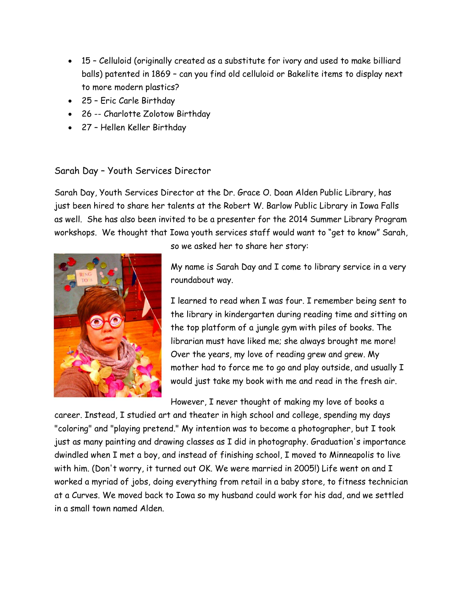- 15 Celluloid (originally created as a substitute for ivory and used to make billiard balls) patented in 1869 – can you find old celluloid or Bakelite items to display next to more modern plastics?
- 25 Eric Carle Birthday
- 26 -- Charlotte Zolotow Birthday
- 27 Hellen Keller Birthday

#### Sarah Day – Youth Services Director

Sarah Day, Youth Services Director at the Dr. Grace O. Doan Alden Public Library, has just been hired to share her talents at the Robert W. Barlow Public Library in Iowa Falls as well. She has also been invited to be a presenter for the 2014 Summer Library Program workshops. We thought that Iowa youth services staff would want to "get to know" Sarah,



so we asked her to share her story:

My name is Sarah Day and I come to library service in a very roundabout way.

I learned to read when I was four. I remember being sent to the library in kindergarten during reading time and sitting on the top platform of a jungle gym with piles of books. The librarian must have liked me; she always brought me more! Over the years, my love of reading grew and grew. My mother had to force me to go and play outside, and usually I would just take my book with me and read in the fresh air.

However, I never thought of making my love of books a

career. Instead, I studied art and theater in high school and college, spending my days "coloring" and "playing pretend." My intention was to become a photographer, but I took just as many painting and drawing classes as I did in photography. Graduation's importance dwindled when I met a boy, and instead of finishing school, I moved to Minneapolis to live with him. (Don't worry, it turned out OK. We were married in 2005!) Life went on and I worked a myriad of jobs, doing everything from retail in a baby store, to fitness technician at a Curves. We moved back to Iowa so my husband could work for his dad, and we settled in a small town named Alden.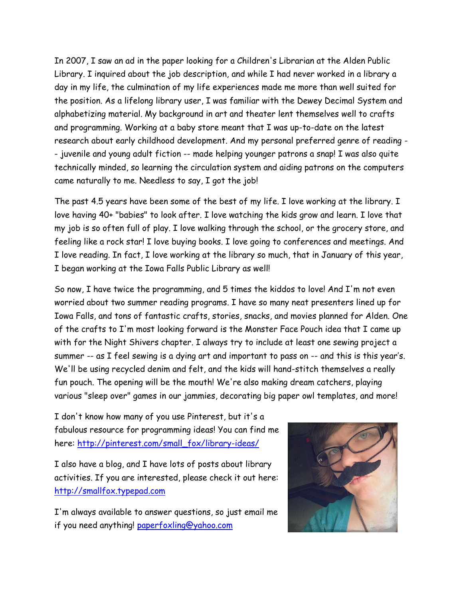In 2007, I saw an ad in the paper looking for a Children's Librarian at the Alden Public Library. I inquired about the job description, and while I had never worked in a library a day in my life, the culmination of my life experiences made me more than well suited for the position. As a lifelong library user, I was familiar with the Dewey Decimal System and alphabetizing material. My background in art and theater lent themselves well to crafts and programming. Working at a baby store meant that I was up-to-date on the latest research about early childhood development. And my personal preferred genre of reading - - juvenile and young adult fiction -- made helping younger patrons a snap! I was also quite technically minded, so learning the circulation system and aiding patrons on the computers came naturally to me. Needless to say, I got the job!

The past 4.5 years have been some of the best of my life. I love working at the library. I love having 40+ "babies" to look after. I love watching the kids grow and learn. I love that my job is so often full of play. I love walking through the school, or the grocery store, and feeling like a rock star! I love buying books. I love going to conferences and meetings. And I love reading. In fact, I love working at the library so much, that in January of this year, I began working at the Iowa Falls Public Library as well!

So now, I have twice the programming, and 5 times the kiddos to love! And I'm not even worried about two summer reading programs. I have so many neat presenters lined up for Iowa Falls, and tons of fantastic crafts, stories, snacks, and movies planned for Alden. One of the crafts to I'm most looking forward is the Monster Face Pouch idea that I came up with for the Night Shivers chapter. I always try to include at least one sewing project a summer -- as I feel sewing is a dying art and important to pass on -- and this is this year's. We'll be using recycled denim and felt, and the kids will hand-stitch themselves a really fun pouch. The opening will be the mouth! We're also making dream catchers, playing various "sleep over" games in our jammies, decorating big paper owl templates, and more!

I don't know how many of you use Pinterest, but it's a fabulous resource for programming ideas! You can find me here: [http://pinterest.com/small\\_fox/library-ideas/](http://pinterest.com/small_fox/library-ideas/)

I also have a blog, and I have lots of posts about library activities. If you are interested, please check it out here: [http://smallfox.typepad.com](http://smallfox.typepad.com/)

I'm always available to answer questions, so just email me if you need anything! [paperfoxling@yahoo.com](mailto:paperfoxling@yahoo.com)

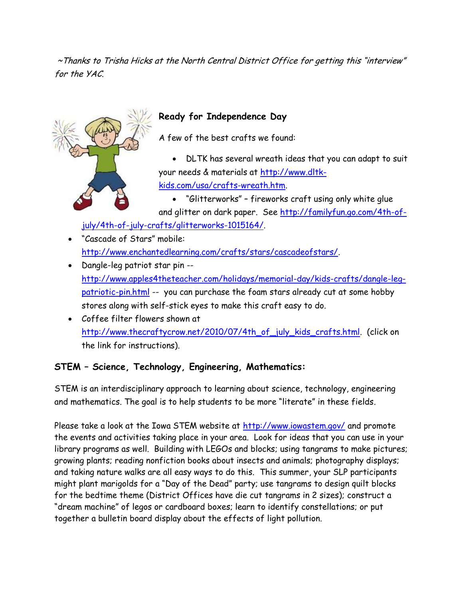~Thanks to Trisha Hicks at the North Central District Office for getting this "interview" for the YAC.



## **Ready for Independence Day**

A few of the best crafts we found:

 DLTK has several wreath ideas that you can adapt to suit your needs & materials at [http://www.dltk](http://www.dltk-kids.com/usa/crafts-wreath.htm)[kids.com/usa/crafts-wreath.htm.](http://www.dltk-kids.com/usa/crafts-wreath.htm)

 "Glitterworks" – fireworks craft using only white glue and glitter on dark paper. See [http://familyfun.go.com/4th-of-](http://familyfun.go.com/4th-of-july/4th-of-july-crafts/glitterworks-1015164/)

[july/4th-of-july-crafts/glitterworks-1015164/.](http://familyfun.go.com/4th-of-july/4th-of-july-crafts/glitterworks-1015164/)

- "Cascade of Stars" mobile: [http://www.enchantedlearning.com/crafts/stars/cascadeofstars/.](http://www.enchantedlearning.com/crafts/stars/cascadeofstars/)
- Dangle-leg patriot star pin [http://www.apples4theteacher.com/holidays/memorial-day/kids-crafts/dangle-leg](http://www.apples4theteacher.com/holidays/memorial-day/kids-crafts/dangle-leg-patriotic-pin.html)[patriotic-pin.html](http://www.apples4theteacher.com/holidays/memorial-day/kids-crafts/dangle-leg-patriotic-pin.html) -- you can purchase the foam stars already cut at some hobby stores along with self-stick eyes to make this craft easy to do.
- Coffee filter flowers shown at [http://www.thecraftycrow.net/2010/07/4th\\_of\\_july\\_kids\\_crafts.html.](http://www.thecraftycrow.net/2010/07/4th_of_july_kids_crafts.html) (click on the link for instructions).

### **STEM – Science, Technology, Engineering, Mathematics:**

STEM is an interdisciplinary approach to learning about science, technology, engineering and mathematics. The goal is to help students to be more "literate" in these fields.

Please take a look at the Iowa STEM website at <http://www.iowastem.gov/> and promote the events and activities taking place in your area. Look for ideas that you can use in your library programs as well. Building with LEGOs and blocks; using tangrams to make pictures; growing plants; reading nonfiction books about insects and animals; photography displays; and taking nature walks are all easy ways to do this. This summer, your SLP participants might plant marigolds for a "Day of the Dead" party; use tangrams to design quilt blocks for the bedtime theme (District Offices have die cut tangrams in 2 sizes); construct a "dream machine" of legos or cardboard boxes; learn to identify constellations; or put together a bulletin board display about the effects of light pollution.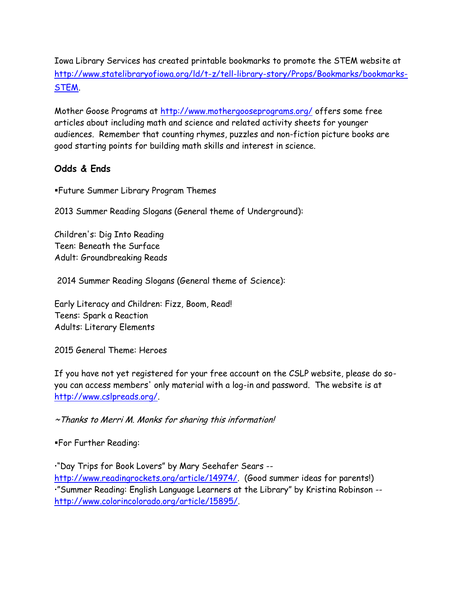Iowa Library Services has created printable bookmarks to promote the STEM website at [http://www.statelibraryofiowa.org/ld/t-z/tell-library-story/Props/Bookmarks/bookmarks-](http://www.statelibraryofiowa.org/ld/t-z/tell-library-story/Props/Bookmarks/bookmarks-STEM)[STEM.](http://www.statelibraryofiowa.org/ld/t-z/tell-library-story/Props/Bookmarks/bookmarks-STEM)

Mother Goose Programs at<http://www.mothergooseprograms.org/> offers some free articles about including math and science and related activity sheets for younger audiences. Remember that counting rhymes, puzzles and non-fiction picture books are good starting points for building math skills and interest in science.

#### **Odds & Ends**

Future Summer Library Program Themes

2013 Summer Reading Slogans (General theme of Underground):

Children's: Dig Into Reading Teen: Beneath the Surface Adult: Groundbreaking Reads

2014 Summer Reading Slogans (General theme of Science):

Early Literacy and Children: Fizz, Boom, Read! Teens: Spark a Reaction Adults: Literary Elements

2015 General Theme: Heroes

If you have not yet registered for your free account on the CSLP website, please do soyou can access members' only material with a log-in and password. The website is at [http://www.cslpreads.org/.](http://www.cslpreads.org/)

~Thanks to Merri M. Monks for sharing this information!

For Further Reading:

"Day Trips for Book Lovers" by Mary Seehafer Sears - http://www.readingrockets.org/article/14974/ (Good summer ideas for parents!) "Summer Reading: English Language Learners at the Library" by Kristina Robinson - [http://www.colorincolorado.org/article/15895/.](http://www.colorincolorado.org/article/15895/)